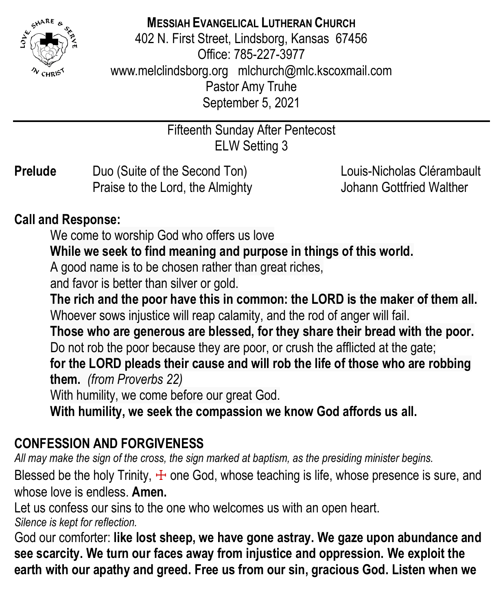

# **MESSIAH EVANGELICAL LUTHERAN CHURCH**

402 N. First Street, Lindsborg, Kansas 67456 Office: 785-227-3977 [www.melclindsborg.org](http://www.melclindsborg.org/) [mlchurch@mlc.kscoxmail.com](mailto:mlchurch@mlc.kscoxmail.com) Pastor Amy Truhe September 5, 2021

> Fifteenth Sunday After Pentecost ELW Setting 3

**Prelude** Duo (Suite of the Second Ton) Louis-Nicholas Clérambault Praise to the Lord, the Almighty **State State State State State Walter** Johann Gottfried Walther

# **Call and Response:**

We come to worship God who offers us love

**While we seek to find meaning and purpose in things of this world.**

A good name is to be chosen rather than great riches,

and favor is better than silver or gold.

**The rich and the poor have this in common: the LORD is the maker of them all.** Whoever sows injustice will reap calamity, and the rod of anger will fail.

**Those who are generous are blessed, for they share their bread with the poor.** Do not rob the poor because they are poor, or crush the afflicted at the gate;

**for the LORD pleads their cause and will rob the life of those who are robbing them.** *(from Proverbs 22)*

With humility, we come before our great God.

**With humility, we seek the compassion we know God affords us all.**

# **CONFESSION AND FORGIVENESS**

*All may make the sign of the cross, the sign marked at baptism, as the presiding minister begins.*

Blessed be the holy Trinity,  $\pm$  one God, whose teaching is life, whose presence is sure, and whose love is endless. **Amen.**

Let us confess our sins to the one who welcomes us with an open heart. *Silence is kept for reflection.*

God our comforter: **like lost sheep, we have gone astray. We gaze upon abundance and see scarcity. We turn our faces away from injustice and oppression. We exploit the earth with our apathy and greed. Free us from our sin, gracious God. Listen when we**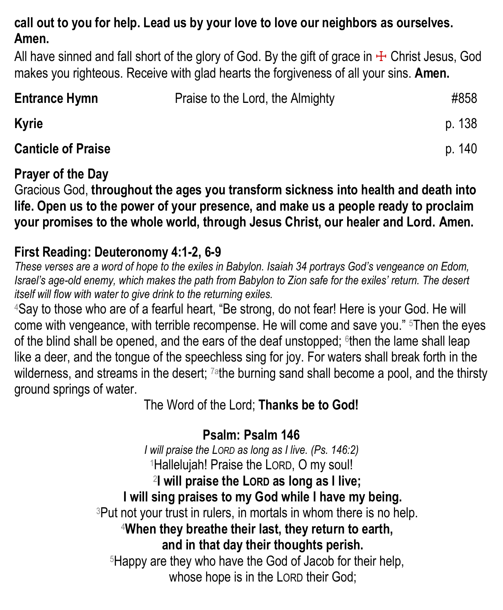# **call out to you for help. Lead us by your love to love our neighbors as ourselves. Amen.**

All have sinned and fall short of the glory of God. By the gift of grace in  $\pm$  Christ Jesus, God makes you righteous. Receive with glad hearts the forgiveness of all your sins. **Amen.**

| <b>Entrance Hymn</b>      | Praise to the Lord, the Almighty | #858   |
|---------------------------|----------------------------------|--------|
| <b>Kyrie</b>              |                                  | p. 138 |
| <b>Canticle of Praise</b> |                                  | p. 140 |

#### **Prayer of the Day**

Gracious God, **throughout the ages you transform sickness into health and death into life. Open us to the power of your presence, and make us a people ready to proclaim your promises to the whole world, through Jesus Christ, our healer and Lord. Amen.**

# **First Reading: Deuteronomy 4:1-2, 6-9**

*These verses are a word of hope to the exiles in Babylon. Isaiah 34 portrays God's vengeance on Edom, Israel's age-old enemy, which makes the path from Babylon to Zion safe for the exiles' return. The desert itself will flow with water to give drink to the returning exiles.*

<sup>4</sup>Say to those who are of a fearful heart, "Be strong, do not fear! Here is your God. He will come with vengeance, with terrible recompense. He will come and save you." 5Then the eyes of the blind shall be opened, and the ears of the deaf unstopped; <sup>6</sup>then the lame shall leap like a deer, and the tongue of the speechless sing for joy. For waters shall break forth in the wilderness, and streams in the desert; <sup>7a</sup>the burning sand shall become a pool, and the thirsty ground springs of water.

The Word of the Lord; **Thanks be to God!**

# **Psalm: Psalm 146**

*I will praise the LORD as long as I live. (Ps. 146:2)* <sup>1</sup>Hallelujah! Praise the LORD, O my soul! 2 **I will praise the LORD as long as I live; I will sing praises to my God while I have my being.** <sup>3</sup>Put not your trust in rulers, in mortals in whom there is no help. <sup>4</sup>**When they breathe their last, they return to earth, and in that day their thoughts perish.** <sup>5</sup>Happy are they who have the God of Jacob for their help, whose hope is in the LORD their God;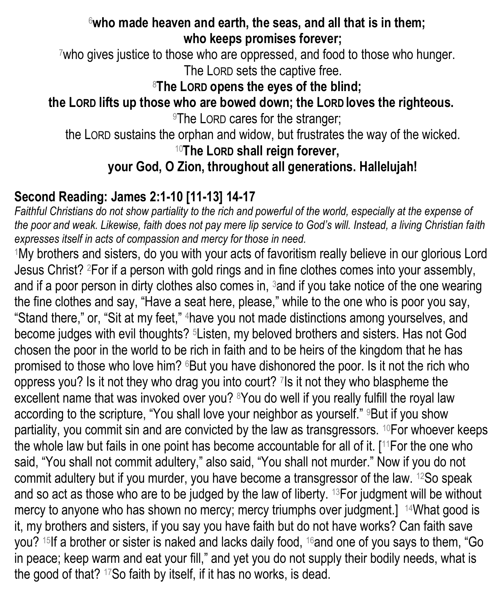#### <sup>6</sup>**who made heaven and earth, the seas, and all that is in them; who keeps promises forever;**

<sup>7</sup>who gives justice to those who are oppressed, and food to those who hunger. The LORD sets the captive free.

<sup>8</sup>**The LORD opens the eyes of the blind;** 

**the LORD lifts up those who are bowed down; the LORD loves the righteous.**

**PThe LORD cares for the stranger;** 

the LORD sustains the orphan and widow, but frustrates the way of the wicked.

<sup>10</sup>**The LORD shall reign forever,**

#### **your God, O Zion, throughout all generations. Hallelujah!**

#### **Second Reading: James 2:1-10 [11-13] 14-17**

*Faithful Christians do not show partiality to the rich and powerful of the world, especially at the expense of*  the poor and weak. Likewise, faith does not pay mere lip service to God's will. Instead, a living Christian faith *expresses itself in acts of compassion and mercy for those in need.*

<sup>1</sup>My brothers and sisters, do you with your acts of favoritism really believe in our glorious Lord Jesus Christ? 2For if a person with gold rings and in fine clothes comes into your assembly, and if a poor person in dirty clothes also comes in,  $3$  and if you take notice of the one wearing the fine clothes and say, "Have a seat here, please," while to the one who is poor you say, "Stand there," or, "Sit at my feet," 4have you not made distinctions among yourselves, and become judges with evil thoughts? 5Listen, my beloved brothers and sisters. Has not God chosen the poor in the world to be rich in faith and to be heirs of the kingdom that he has promised to those who love him? <sup>6</sup>But you have dishonored the poor. Is it not the rich who oppress you? Is it not they who drag you into court? <sup>7</sup> Is it not they who blaspheme the excellent name that was invoked over you? <sup>8</sup>You do well if you really fulfill the royal law according to the scripture, "You shall love your neighbor as yourself." <sup>9</sup>But if you show partiality, you commit sin and are convicted by the law as transgressors. 10For whoever keeps the whole law but fails in one point has become accountable for all of it. [11For the one who said, "You shall not commit adultery," also said, "You shall not murder." Now if you do not commit adultery but if you murder, you have become a transgressor of the law. 12So speak and so act as those who are to be judged by the law of liberty. 13For judgment will be without mercy to anyone who has shown no mercy; mercy triumphs over judgment.] <sup>14</sup>What good is it, my brothers and sisters, if you say you have faith but do not have works? Can faith save you? 15If a brother or sister is naked and lacks daily food, 16and one of you says to them, "Go in peace; keep warm and eat your fill," and yet you do not supply their bodily needs, what is the good of that? 17So faith by itself, if it has no works, is dead.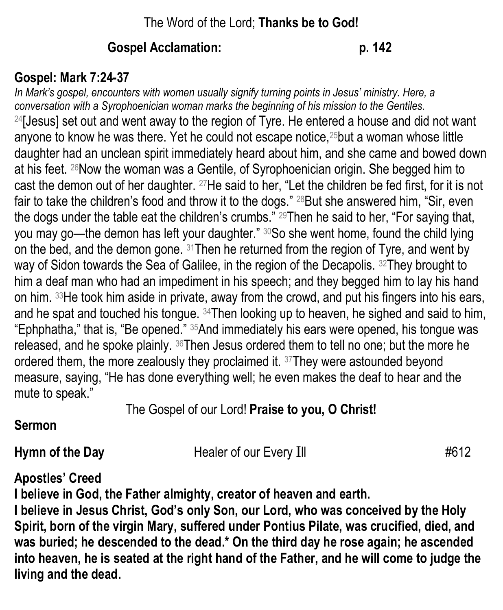#### The Word of the Lord; **Thanks be to God!**

#### **Gospel Acclamation: p. 142**

### **Gospel: Mark 7:24-37**

*In Mark's gospel, encounters with women usually signify turning points in Jesus' ministry. Here, a conversation with a Syrophoenician woman marks the beginning of his mission to the Gentiles.* <sup>24</sup>[Jesus] set out and went away to the region of Tyre. He entered a house and did not want anyone to know he was there. Yet he could not escape notice,<sup>25</sup>but a woman whose little daughter had an unclean spirit immediately heard about him, and she came and bowed down at his feet. 26Now the woman was a Gentile, of Syrophoenician origin. She begged him to cast the demon out of her daughter. 27He said to her, "Let the children be fed first, for it is not fair to take the children's food and throw it to the dogs." 28But she answered him, "Sir, even the dogs under the table eat the children's crumbs." 29Then he said to her, "For saying that, you may go—the demon has left your daughter." 30So she went home, found the child lying on the bed, and the demon gone. <sup>31</sup>Then he returned from the region of Tyre, and went by way of Sidon towards the Sea of Galilee, in the region of the Decapolis. 32 They brought to him a deaf man who had an impediment in his speech; and they begged him to lay his hand on him. 33He took him aside in private, away from the crowd, and put his fingers into his ears, and he spat and touched his tongue. 34Then looking up to heaven, he sighed and said to him, "Ephphatha," that is, "Be opened." 35And immediately his ears were opened, his tongue was released, and he spoke plainly. 36Then Jesus ordered them to tell no one; but the more he ordered them, the more zealously they proclaimed it. 37They were astounded beyond measure, saying, "He has done everything well; he even makes the deaf to hear and the mute to speak."

The Gospel of our Lord! **Praise to you, O Christ!**

#### **Sermon**

**Hymn of the Day Healer of our Every III Hymn of the Day** 

# **Apostles' Creed**

**I believe in God, the Father almighty, creator of heaven and earth.**

**I believe in Jesus Christ, God's only Son, our Lord, who was conceived by the Holy Spirit, born of the virgin Mary, suffered under Pontius Pilate, was crucified, died, and was buried; he descended to the dead.\* On the third day he rose again; he ascended into heaven, he is seated at the right hand of the Father, and he will come to judge the living and the dead.**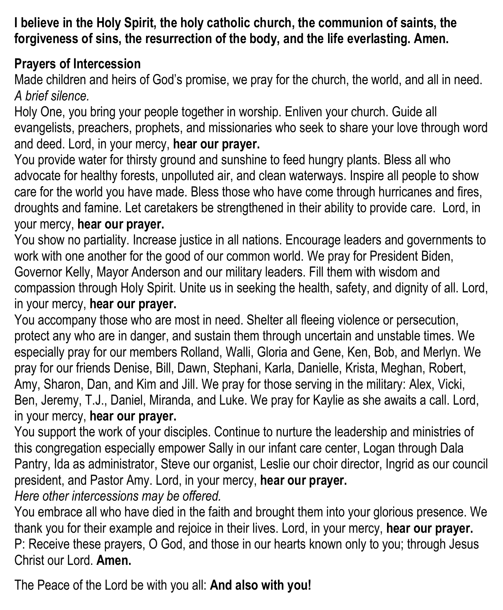**I believe in the Holy Spirit, the holy catholic church, the communion of saints, the forgiveness of sins, the resurrection of the body, and the life everlasting. Amen.**

### **Prayers of Intercession**

Made children and heirs of God's promise, we pray for the church, the world, and all in need. *A brief silence.*

Holy One, you bring your people together in worship. Enliven your church. Guide all evangelists, preachers, prophets, and missionaries who seek to share your love through word and deed. Lord, in your mercy, **hear our prayer.**

You provide water for thirsty ground and sunshine to feed hungry plants. Bless all who advocate for healthy forests, unpolluted air, and clean waterways. Inspire all people to show care for the world you have made. Bless those who have come through hurricanes and fires, droughts and famine. Let caretakers be strengthened in their ability to provide care. Lord, in your mercy, **hear our prayer.**

You show no partiality. Increase justice in all nations. Encourage leaders and governments to work with one another for the good of our common world. We pray for President Biden, Governor Kelly, Mayor Anderson and our military leaders. Fill them with wisdom and compassion through Holy Spirit. Unite us in seeking the health, safety, and dignity of all. Lord, in your mercy, **hear our prayer.**

You accompany those who are most in need. Shelter all fleeing violence or persecution, protect any who are in danger, and sustain them through uncertain and unstable times. We especially pray for our members Rolland, Walli, Gloria and Gene, Ken, Bob, and Merlyn. We pray for our friends Denise, Bill, Dawn, Stephani, Karla, Danielle, Krista, Meghan, Robert, Amy, Sharon, Dan, and Kim and Jill. We pray for those serving in the military: Alex, Vicki, Ben, Jeremy, T.J., Daniel, Miranda, and Luke. We pray for Kaylie as she awaits a call. Lord, in your mercy, **hear our prayer.**

You support the work of your disciples. Continue to nurture the leadership and ministries of this congregation especially empower Sally in our infant care center, Logan through Dala Pantry, Ida as administrator, Steve our organist, Leslie our choir director, Ingrid as our council president, and Pastor Amy. Lord, in your mercy, **hear our prayer.** *Here other intercessions may be offered.*

You embrace all who have died in the faith and brought them into your glorious presence. We thank you for their example and rejoice in their lives. Lord, in your mercy, **hear our prayer.** P: Receive these prayers, O God, and those in our hearts known only to you; through Jesus Christ our Lord. **Amen.**

The Peace of the Lord be with you all: **And also with you!**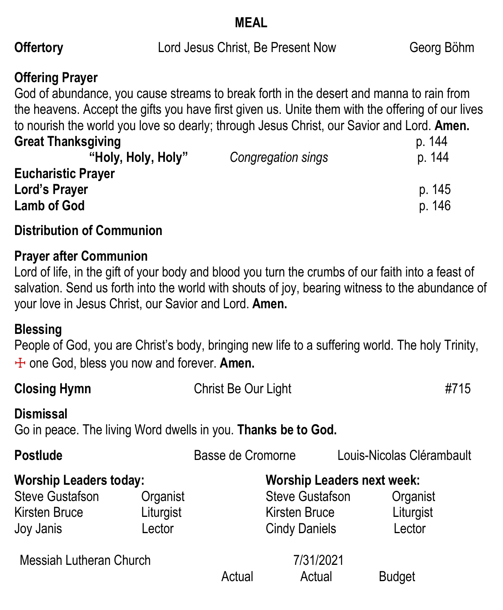#### **MEAL**

#### **Offertory Lord Jesus Christ, Be Present Now Georg Böhm**

# **Offering Prayer**

God of abundance, you cause streams to break forth in the desert and manna to rain from the heavens. Accept the gifts you have first given us. Unite them with the offering of our lives to nourish the world you love so dearly; through Jesus Christ, our Savior and Lord. **Amen.**

| Great Thanksgiving |  |
|--------------------|--|
|                    |  |

| <b>Great Thanksgiving</b>                         |                    | p. 144 |
|---------------------------------------------------|--------------------|--------|
| "Holy, Holy, Holy"                                | Congregation sings | p. 144 |
| <b>Eucharistic Prayer</b><br><b>Lord's Prayer</b> |                    | p. 145 |
| <b>Lamb of God</b>                                |                    | p. 146 |

#### **Distribution of Communion**

#### **Prayer after Communion**

Lord of life, in the gift of your body and blood you turn the crumbs of our faith into a feast of salvation. Send us forth into the world with shouts of joy, bearing witness to the abundance of your love in Jesus Christ, our Savior and Lord. **Amen.**

#### **Blessing**

People of God, you are Christ's body, bringing new life to a suffering world. The holy Trinity, ☩ one God, bless you now and forever. **Amen.**

| <b>Closing Hymn</b>                                                               |           | Christ Be Our Light |                                   | #715                      |
|-----------------------------------------------------------------------------------|-----------|---------------------|-----------------------------------|---------------------------|
| <b>Dismissal</b><br>Go in peace. The living Word dwells in you. Thanks be to God. |           |                     |                                   |                           |
| <b>Postlude</b>                                                                   |           | Basse de Cromorne   |                                   | Louis-Nicolas Clérambault |
| <b>Worship Leaders today:</b>                                                     |           |                     | <b>Worship Leaders next week:</b> |                           |
| <b>Steve Gustafson</b>                                                            | Organist  |                     | <b>Steve Gustafson</b>            | Organist                  |
| Kirsten Bruce                                                                     | Liturgist |                     | Kirsten Bruce                     | Liturgist                 |
| Joy Janis                                                                         | Lector    |                     | <b>Cindy Daniels</b>              | Lector                    |
| Messiah Lutheran Church                                                           |           |                     | 7/31/2021                         |                           |
|                                                                                   |           | Actual              | Actual                            | <b>Budget</b>             |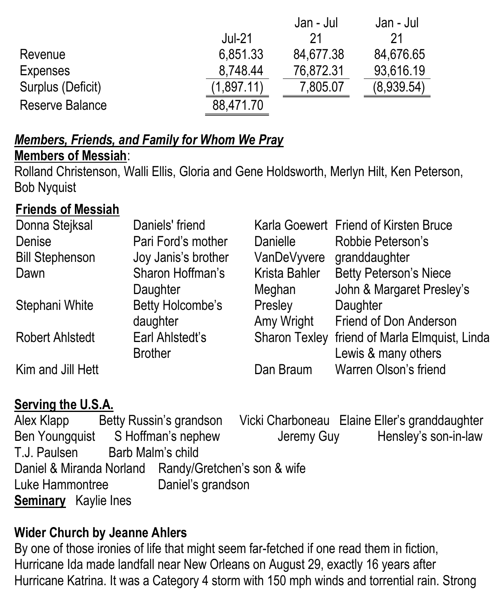|                   |            | Jan - Jul | Jan - Jul  |
|-------------------|------------|-----------|------------|
|                   | $Jul-21$   | 21        | 21         |
| Revenue           | 6,851.33   | 84,677.38 | 84,676.65  |
| <b>Expenses</b>   | 8,748.44   | 76,872.31 | 93,616.19  |
| Surplus (Deficit) | (1,897.11) | 7,805.07  | (8,939.54) |
| Reserve Balance   | 88,471.70  |           |            |

# *Members, Friends, and Family for Whom We Pray*

### **Members of Messiah**:

Rolland Christenson, Walli Ellis, Gloria and Gene Holdsworth, Merlyn Hilt, Ken Peterson, Bob Nyquist

# **Friends of Messiah**

| Donna Stejksal         | Daniels' friend     |                      | Karla Goewert Friend of Kirsten Bruce |
|------------------------|---------------------|----------------------|---------------------------------------|
| Denise                 | Pari Ford's mother  | Danielle             | Robbie Peterson's                     |
| <b>Bill Stephenson</b> | Joy Janis's brother |                      | VanDeVyvere granddaughter             |
| Dawn                   | Sharon Hoffman's    | <b>Krista Bahler</b> | <b>Betty Peterson's Niece</b>         |
|                        | Daughter            | Meghan               | John & Margaret Presley's             |
| Stephani White         | Betty Holcombe's    | Presley              | Daughter                              |
|                        | daughter            | Amy Wright           | Friend of Don Anderson                |
| <b>Robert Ahlstedt</b> | Earl Ahlstedt's     | <b>Sharon Texley</b> | friend of Marla Elmquist, Linda       |
|                        | <b>Brother</b>      |                      | Lewis & many others                   |
| Kim and Jill Hett      |                     | Dan Braum            | Warren Olson's friend                 |
|                        |                     |                      |                                       |

# **Serving the U.S.A.**

| Alex Klapp                        |                   | Betty Russin's grandson |                             | Vicki Charboneau Elaine Eller's granddaughter |
|-----------------------------------|-------------------|-------------------------|-----------------------------|-----------------------------------------------|
| Ben Youngquist S Hoffman's nephew |                   |                         | Jeremy Guy                  | Hensley's son-in-law                          |
| T.J. Paulsen                      | Barb Malm's child |                         |                             |                                               |
| Daniel & Miranda Norland          |                   |                         | Randy/Gretchen's son & wife |                                               |
| Luke Hammontree                   |                   | Daniel's grandson       |                             |                                               |
| <b>Seminary</b> Kaylie Ines       |                   |                         |                             |                                               |

# **Wider Church by Jeanne Ahlers**

By one of those ironies of life that might seem far-fetched if one read them in fiction, Hurricane Ida made landfall near New Orleans on August 29, exactly 16 years after Hurricane Katrina. It was a Category 4 storm with 150 mph winds and torrential rain. Strong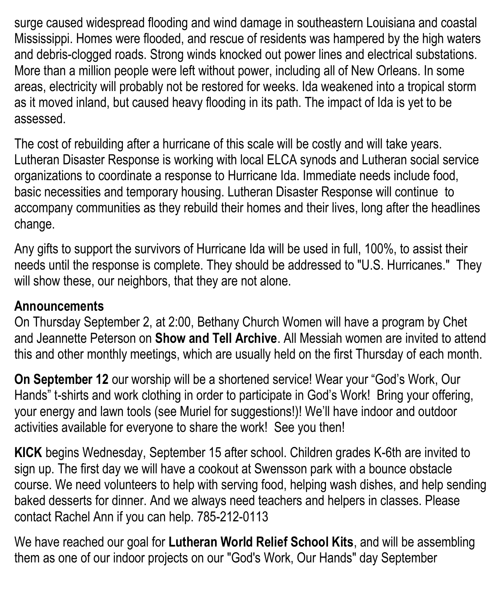surge caused widespread flooding and wind damage in southeastern Louisiana and coastal Mississippi. Homes were flooded, and rescue of residents was hampered by the high waters and debris-clogged roads. Strong winds knocked out power lines and electrical substations. More than a million people were left without power, including all of New Orleans. In some areas, electricity will probably not be restored for weeks. Ida weakened into a tropical storm as it moved inland, but caused heavy flooding in its path. The impact of Ida is yet to be assessed.

The cost of rebuilding after a hurricane of this scale will be costly and will take years. Lutheran Disaster Response is working with local ELCA synods and Lutheran social service organizations to coordinate a response to Hurricane Ida. Immediate needs include food, basic necessities and temporary housing. Lutheran Disaster Response will continue to accompany communities as they rebuild their homes and their lives, long after the headlines change.

Any gifts to support the survivors of Hurricane Ida will be used in full, 100%, to assist their needs until the response is complete. They should be addressed to "U.S. Hurricanes." They will show these, our neighbors, that they are not alone.

#### **Announcements**

On Thursday September 2, at 2:00, Bethany Church Women will have a program by Chet and Jeannette Peterson on **Show and Tell Archive**. All Messiah women are invited to attend this and other monthly meetings, which are usually held on the first Thursday of each month.

**On September 12** our worship will be a shortened service! Wear your "God's Work, Our Hands" t-shirts and work clothing in order to participate in God's Work! Bring your offering, your energy and lawn tools (see Muriel for suggestions!)! We'll have indoor and outdoor activities available for everyone to share the work! See you then!

**KICK** begins Wednesday, September 15 after school. Children grades K-6th are invited to sign up. The first day we will have a cookout at Swensson park with a bounce obstacle course. We need volunteers to help with serving food, helping wash dishes, and help sending baked desserts for dinner. And we always need teachers and helpers in classes. Please contact Rachel Ann if you can help. 785-212-0113

We have reached our goal for **Lutheran World Relief School Kits**, and will be assembling them as one of our indoor projects on our "God's Work, Our Hands" day September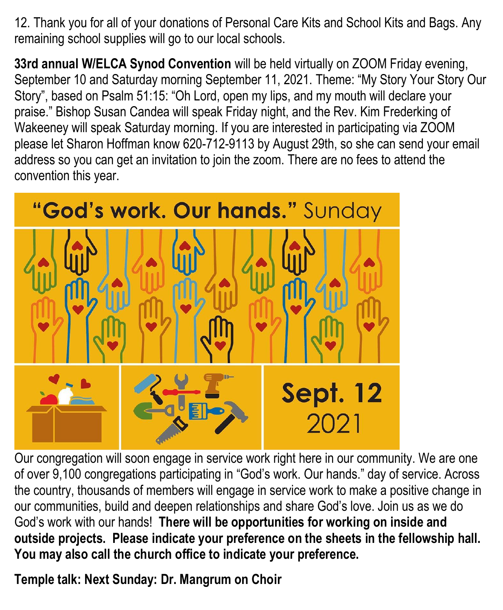12. Thank you for all of your donations of Personal Care Kits and School Kits and Bags. Any remaining school supplies will go to our local schools.

**33rd annual W/ELCA Synod Convention** will be held virtually on ZOOM Friday evening, September 10 and Saturday morning September 11, 2021. Theme: "My Story Your Story Our Story", based on Psalm 51:15: "Oh Lord, open my lips, and my mouth will declare your praise." Bishop Susan Candea will speak Friday night, and the Rev. Kim Frederking of Wakeeney will speak Saturday morning. If you are interested in participating via ZOOM please let Sharon Hoffman know 620-712-9113 by August 29th, so she can send your email address so you can get an invitation to join the zoom. There are no fees to attend the convention this year.



Our congregation will soon engage in service work right here in our community. We are one of over 9,100 congregations participating in "God's work. Our hands." day of service. Across the country, thousands of members will engage in service work to make a positive change in our communities, build and deepen relationships and share God's love. Join us as we do God's work with our hands! **There will be opportunities for working on inside and outside projects. Please indicate your preference on the sheets in the fellowship hall. You may also call the church office to indicate your preference.**

**Temple talk: Next Sunday: Dr. Mangrum on Choir**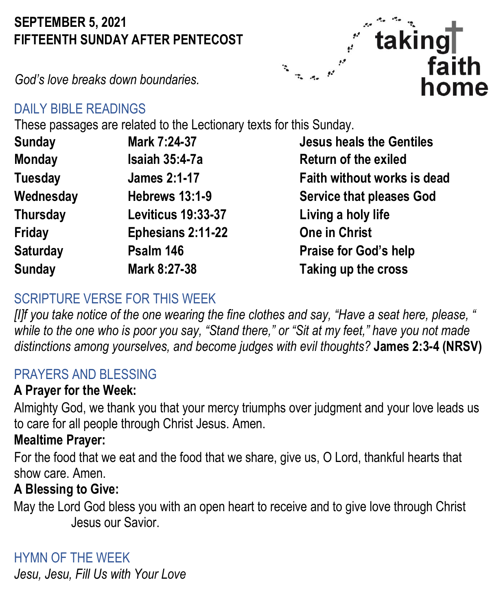# **SEPTEMBER 5, 2021 FIFTEENTH SUNDAY AFTER PENTECOST**



*God's love breaks down boundaries.* 

### DAILY BIBLE READINGS

These passages are related to the Lectionary texts for this Sunday.

| <b>Sunday</b>   | Mark 7:24-37              |
|-----------------|---------------------------|
| <b>Monday</b>   | <b>Isaiah 35:4-7a</b>     |
| <b>Tuesday</b>  | <b>James 2:1-17</b>       |
| Wednesday       | <b>Hebrews 13:1-9</b>     |
| <b>Thursday</b> | <b>Leviticus 19:33-37</b> |
| Friday          | Ephesians 2:11-22         |
| <b>Saturday</b> | Psalm 146                 |
| <b>Sunday</b>   | Mark 8:27-38              |
|                 |                           |

**Jesus heals the Gentiles Return of the exiled Faith without works is dead Service that pleases God Living a holy life One in Christ Praise for God's help Taking up the cross** 

# SCRIPTURE VERSE FOR THIS WEEK

*[I]f you take notice of the one wearing the fine clothes and say, "Have a seat here, please, " while to the one who is poor you say, "Stand there," or "Sit at my feet," have you not made distinctions among yourselves, and become judges with evil thoughts?* **James 2:3-4 (NRSV)**

# PRAYERS AND BLESSING

# **A Prayer for the Week:**

Almighty God, we thank you that your mercy triumphs over judgment and your love leads us to care for all people through Christ Jesus. Amen.

# **Mealtime Prayer:**

For the food that we eat and the food that we share, give us, O Lord, thankful hearts that show care. Amen.

# **A Blessing to Give:**

May the Lord God bless you with an open heart to receive and to give love through Christ Jesus our Savior.

#### HYMN OF THE WEEK

*Jesu, Jesu, Fill Us with Your Love*